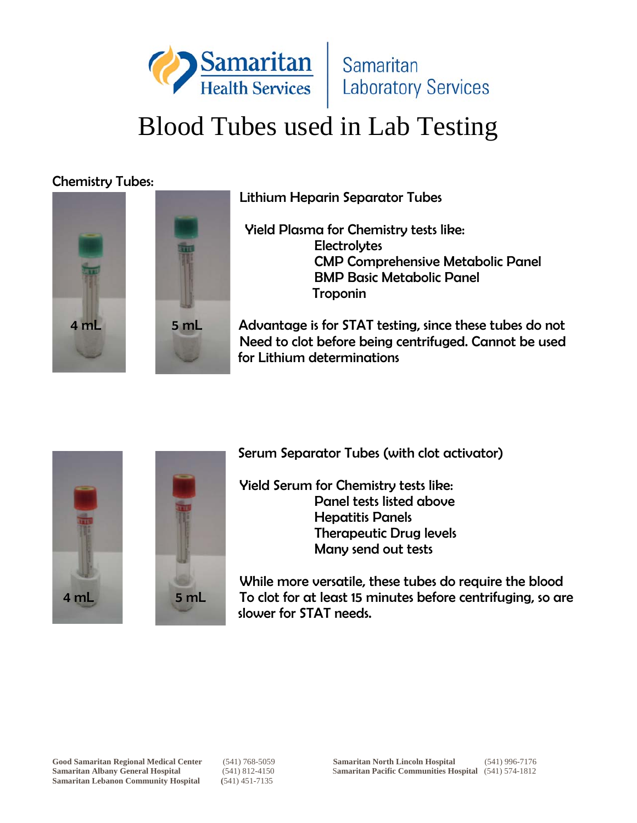

### Chemistry Tubes:





Lithium Heparin Separator Tubes

 Yield Plasma for Chemistry tests like: **Electrolytes**  CMP Comprehensive Metabolic Panel BMP Basic Metabolic Panel Troponin

 4 mL 5 mL Advantage is for STAT testing, since these tubes do not Need to clot before being centrifuged. Cannot be used for Lithium determinations





Serum Separator Tubes (with clot activator)

Yield Serum for Chemistry tests like: Panel tests listed above Hepatitis Panels Therapeutic Drug levels Many send out tests

 While more versatile, these tubes do require the blood 4 mL 5 mL To clot for at least 15 minutes before centrifuging, so are slower for STAT needs.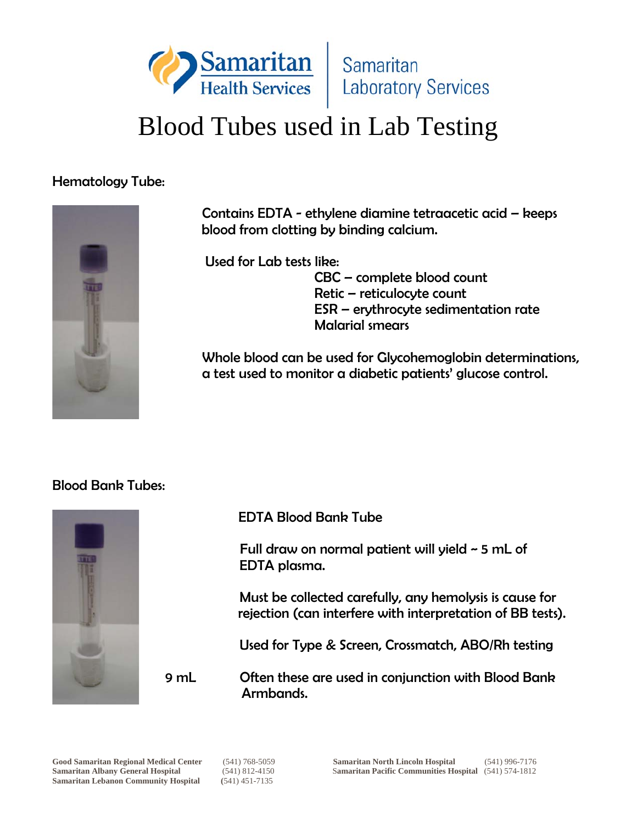

#### Hematology Tube:



 Contains EDTA - ethylene diamine tetraacetic acid – keeps blood from clotting by binding calcium.

Used for Lab tests like:

 CBC – complete blood count Retic – reticulocyte count ESR – erythrocyte sedimentation rate Malarial smears

Whole blood can be used for Glycohemoglobin determinations, a test used to monitor a diabetic patients' glucose control.

#### Blood Bank Tubes:



EDTA Blood Bank Tube

 Full draw on normal patient will yield ~ 5 mL of EDTA plasma.

 Must be collected carefully, any hemolysis is cause for rejection (can interfere with interpretation of BB tests).

Used for Type & Screen, Crossmatch, ABO/Rh testing

 9 mL Often these are used in conjunction with Blood Bank Armbands.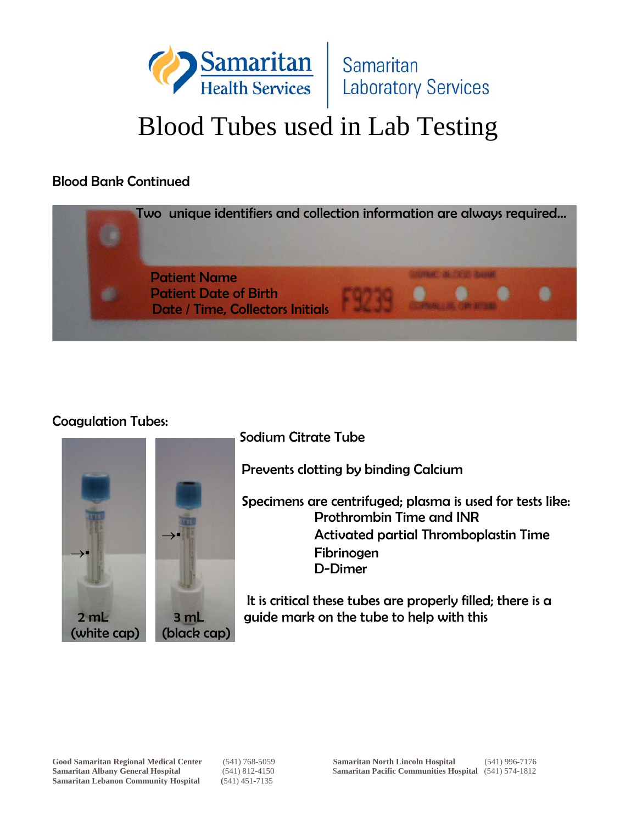

#### Blood Bank Continued



#### Coagulation Tubes:





Prevents clotting by binding Calcium

 Specimens are centrifuged; plasma is used for tests like: Prothrombin Time and INR **Activated partial Thromboplastin Time Fibrinogen** D-Dimer

 It is critical these tubes are properly filled; there is a 2 mL 3 mL guide mark on the tube to help with this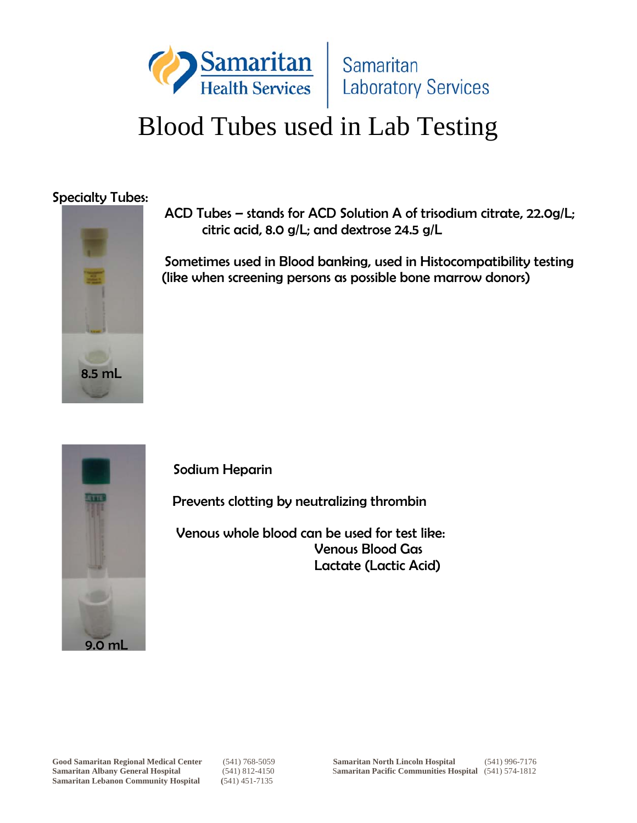

#### Specialty Tubes:



 ACD Tubes – stands for ACD Solution A of trisodium citrate, 22.0g/L; citric acid, 8.0 g/L; and dextrose 24.5 g/L

 Sometimes used in Blood banking, used in Histocompatibility testing (like when screening persons as possible bone marrow donors)



Sodium Heparin

Prevents clotting by neutralizing thrombin

 Venous whole blood can be used for test like: Venous Blood Gas Lactate (Lactic Acid)